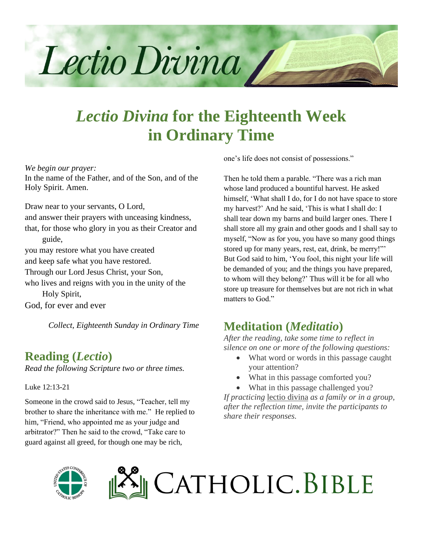

# *Lectio Divina* **for the Eighteenth Week in Ordinary Time**

*We begin our prayer:*

In the name of the Father, and of the Son, and of the Holy Spirit. Amen.

Draw near to your servants, O Lord,

and answer their prayers with unceasing kindness,

that, for those who glory in you as their Creator and guide,

you may restore what you have created

and keep safe what you have restored.

Through our Lord Jesus Christ, your Son,

who lives and reigns with you in the unity of the Holy Spirit,

God, for ever and ever

*Collect, Eighteenth Sunday in Ordinary Time*

#### **Reading (***Lectio***)**

*Read the following Scripture two or three times.*

Luke 12:13-21

Someone in the crowd said to Jesus, "Teacher, tell my brother to share the inheritance with me." He replied to him, "Friend, who appointed me as your judge and arbitrator?" Then he said to the crowd, "Take care to guard against all greed, for though one may be rich,

one's life does not consist of possessions."

Then he told them a parable. "There was a rich man whose land produced a bountiful harvest. He asked himself, 'What shall I do, for I do not have space to store my harvest?' And he said, 'This is what I shall do: I shall tear down my barns and build larger ones. There I shall store all my grain and other goods and I shall say to myself, "Now as for you, you have so many good things stored up for many years, rest, eat, drink, be merry!"' But God said to him, 'You fool, this night your life will be demanded of you; and the things you have prepared, to whom will they belong?' Thus will it be for all who store up treasure for themselves but are not rich in what matters to God."

### **Meditation (***Meditatio***)**

*After the reading, take some time to reflect in silence on one or more of the following questions:*

- What word or words in this passage caught your attention?
- What in this passage comforted you?
- What in this passage challenged you?

*If practicing* lectio divina *as a family or in a group, after the reflection time, invite the participants to share their responses.*